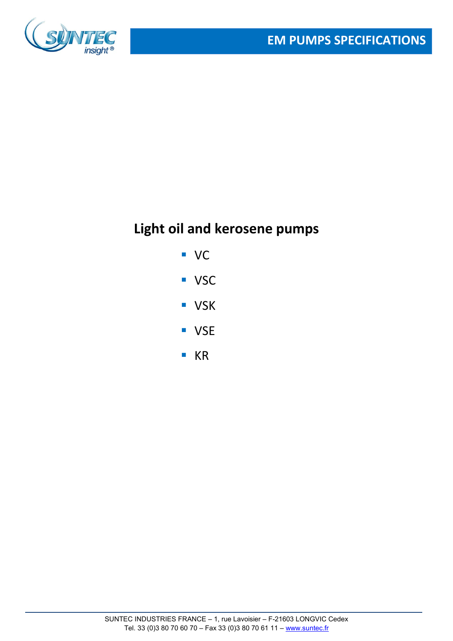

# **Light oil and kerosene pumps**

- VC
- **vsc**
- **v**SK
- **vSE**
- $K$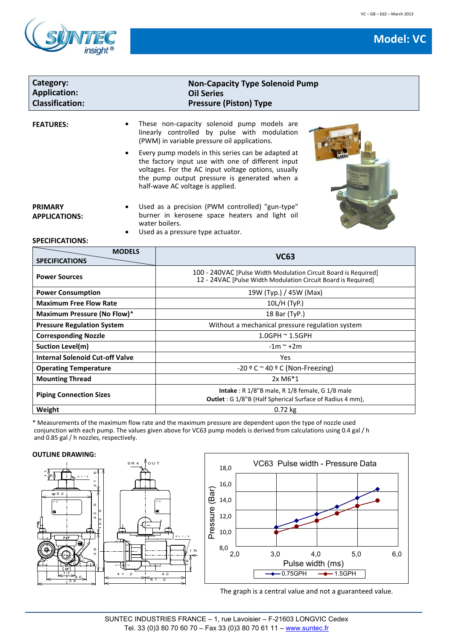



| Category:<br><b>Application:</b><br><b>Classification:</b>                                        | <b>Non-Capacity Type Solenoid Pump</b><br><b>Oil Series</b><br><b>Pressure (Piston) Type</b>                                                                                                                                                                                                                                                                                                                                                                                                                                                                  |  |
|---------------------------------------------------------------------------------------------------|---------------------------------------------------------------------------------------------------------------------------------------------------------------------------------------------------------------------------------------------------------------------------------------------------------------------------------------------------------------------------------------------------------------------------------------------------------------------------------------------------------------------------------------------------------------|--|
| <b>FEATURES:</b><br>$\bullet$<br><b>PRIMARY</b><br><b>APPLICATIONS:</b><br><b>SPECIFICATIONS:</b> | These non-capacity solenoid pump models are<br>linearly controlled by pulse with modulation<br>(PWM) in variable pressure oil applications.<br>Every pump models in this series can be adapted at<br>the factory input use with one of different input<br>voltages. For the AC input voltage options, usually<br>the pump output pressure is generated when a<br>half-wave AC voltage is applied.<br>Used as a precision (PWM controlled) "gun-type"<br>burner in kerosene space heaters and light oil<br>water boilers.<br>Used as a pressure type actuator. |  |
| <b>MODELS</b><br><b>SPECIFICATIONS</b>                                                            | <b>VC63</b>                                                                                                                                                                                                                                                                                                                                                                                                                                                                                                                                                   |  |
| <b>Power Sources</b>                                                                              | 100 - 240VAC [Pulse Width Modulation Circuit Board is Required]<br>12 - 24VAC [Pulse Width Modulation Circuit Board is Required]                                                                                                                                                                                                                                                                                                                                                                                                                              |  |
| <b>Power Consumption</b>                                                                          | 19W (Typ.) / 45W (Max)                                                                                                                                                                                                                                                                                                                                                                                                                                                                                                                                        |  |
| <b>Maximum Free Flow Rate</b>                                                                     | 10L/H (TyP.)                                                                                                                                                                                                                                                                                                                                                                                                                                                                                                                                                  |  |
| Maximum Pressure (No Flow)*                                                                       | 18 Bar (TyP.)                                                                                                                                                                                                                                                                                                                                                                                                                                                                                                                                                 |  |
| <b>Pressure Regulation System</b>                                                                 | Without a mechanical pressure regulation system                                                                                                                                                                                                                                                                                                                                                                                                                                                                                                               |  |
| <b>Corresponding Nozzle</b>                                                                       | 1.0GPH ~ 1.5GPH                                                                                                                                                                                                                                                                                                                                                                                                                                                                                                                                               |  |
| <b>Suction Level(m)</b>                                                                           | $-1m$ ~ $+2m$                                                                                                                                                                                                                                                                                                                                                                                                                                                                                                                                                 |  |
| <b>Internal Solenoid Cut-off Valve</b>                                                            | Yes                                                                                                                                                                                                                                                                                                                                                                                                                                                                                                                                                           |  |
| <b>Operating Temperature</b>                                                                      | -20 º C ~ 40 º C (Non-Freezing)                                                                                                                                                                                                                                                                                                                                                                                                                                                                                                                               |  |
| <b>Mounting Thread</b>                                                                            | 2x M6*1                                                                                                                                                                                                                                                                                                                                                                                                                                                                                                                                                       |  |
| <b>Piping Connection Sizes</b>                                                                    | Intake: R 1/8"B male, R 1/8 female, G 1/8 male<br>Outlet : G 1/8"B (Half Spherical Surface of Radius 4 mm),                                                                                                                                                                                                                                                                                                                                                                                                                                                   |  |
| Weight                                                                                            | 0.72 kg                                                                                                                                                                                                                                                                                                                                                                                                                                                                                                                                                       |  |

\* Measurements of the maximum flow rate and the maximum pressure are dependent upon the type of nozzle used conjunction with each pump. The values given above for VC63 pump models is derived from calculations using 0.4 gal / h and 0.85 gal / h nozzles, respectively.

IN

# **OUTLINE DRAWING:**





The graph is a central value and not a guaranteed value.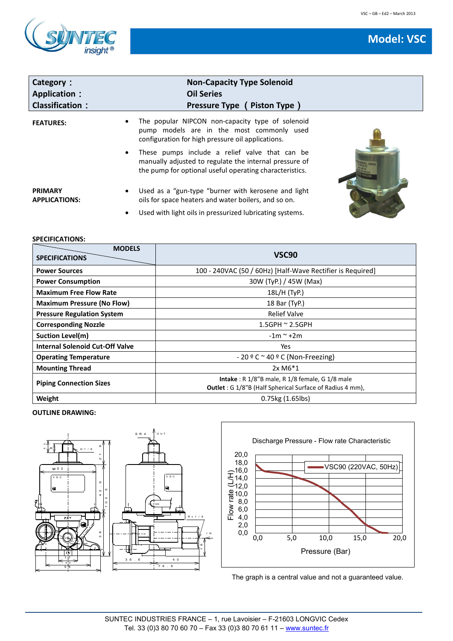

| Category:<br><b>Application:</b><br><b>Classification:</b> | <b>Non-Capacity Type Solenoid</b><br><b>Oil Series</b><br>Pressure Type (Piston Type)                                                                                    |  |
|------------------------------------------------------------|--------------------------------------------------------------------------------------------------------------------------------------------------------------------------|--|
| <b>FEATURES:</b>                                           | The popular NIPCON non-capacity type of solenoid<br>٠<br>pump models are in the most commonly used<br>configuration for high pressure oil applications.                  |  |
|                                                            | These pumps include a relief valve that can be<br>٠<br>manually adjusted to regulate the internal pressure of<br>the pump for optional useful operating characteristics. |  |
| <b>PRIMARY</b><br><b>APPLICATIONS:</b>                     | Used as a "gun-type "burner with kerosene and light<br>$\bullet$<br>oils for space heaters and water boilers, and so on.                                                 |  |
|                                                            | Used with light oils in pressurized lubricating systems.<br>$\bullet$                                                                                                    |  |

## **SPECIFICATIONS:**

| <b>MODELS</b><br><b>SPECIFICATIONS</b> | VSC <sub>90</sub>                                                                                                                    |  |
|----------------------------------------|--------------------------------------------------------------------------------------------------------------------------------------|--|
| <b>Power Sources</b>                   | 100 - 240VAC (50 / 60Hz) [Half-Wave Rectifier is Required]                                                                           |  |
| <b>Power Consumption</b>               | 30W (TyP.) / 45W (Max)                                                                                                               |  |
| <b>Maximum Free Flow Rate</b>          | 18L/H (TyP.)                                                                                                                         |  |
| <b>Maximum Pressure (No Flow)</b>      | 18 Bar (TyP.)                                                                                                                        |  |
| <b>Pressure Regulation System</b>      | <b>Relief Valve</b>                                                                                                                  |  |
| <b>Corresponding Nozzle</b>            | $1.5$ GPH $\approx$ 2.5GPH                                                                                                           |  |
| Suction Level(m)                       | $-1m$ $\sim$ +2m                                                                                                                     |  |
| <b>Internal Solenoid Cut-Off Valve</b> | Yes                                                                                                                                  |  |
| <b>Operating Temperature</b>           | $-20$ º C ~ 40 º C (Non-Freezing)                                                                                                    |  |
| <b>Mounting Thread</b>                 | $2x$ M $6*1$                                                                                                                         |  |
| <b>Piping Connection Sizes</b>         | <b>Intake</b> : $R\ 1/8$ "B male, $R\ 1/8$ female, $G\ 1/8$ male<br><b>Outlet</b> : G 1/8"B (Half Spherical Surface of Radius 4 mm), |  |
| Weight                                 | 0.75kg (1.65lbs)                                                                                                                     |  |

### **OUTLINE DRAWING:**





The graph is a central value and not a guaranteed value.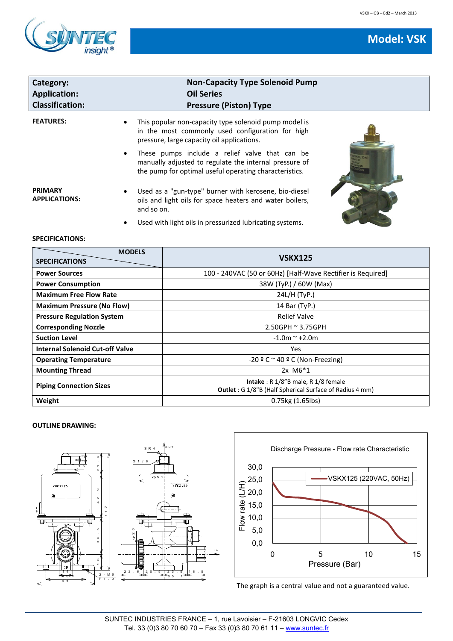**Model: VSK**



| Category:                              | <b>Non-Capacity Type Solenoid Pump</b>                                                                                                                                          |  |
|----------------------------------------|---------------------------------------------------------------------------------------------------------------------------------------------------------------------------------|--|
| <b>Application:</b>                    | <b>Oil Series</b>                                                                                                                                                               |  |
| <b>Classification:</b>                 | <b>Pressure (Piston) Type</b>                                                                                                                                                   |  |
| <b>FEATURES:</b>                       | This popular non-capacity type solenoid pump model is<br>in the most commonly used configuration for high<br>pressure, large capacity oil applications.                         |  |
|                                        | These pumps include a relief valve that can be<br>$\bullet$<br>manually adjusted to regulate the internal pressure of<br>the pump for optimal useful operating characteristics. |  |
| <b>PRIMARY</b><br><b>APPLICATIONS:</b> | Used as a "gun-type" burner with kerosene, bio-diesel<br>oils and light oils for space heaters and water boilers,<br>and so on.                                                 |  |

Used with light oils in pressurized lubricating systems.

# **SPECIFICATIONS:**

| <b>MODELS</b><br><b>SPECIFICATIONS</b> | <b>VSKX125</b>                                                                                                      |
|----------------------------------------|---------------------------------------------------------------------------------------------------------------------|
| <b>Power Sources</b>                   | 100 - 240VAC (50 or 60Hz) [Half-Wave Rectifier is Required]                                                         |
| <b>Power Consumption</b>               | 38W (TyP.) / 60W (Max)                                                                                              |
| <b>Maximum Free Flow Rate</b>          | 24L/H (TyP.)                                                                                                        |
| <b>Maximum Pressure (No Flow)</b>      | 14 Bar (TyP.)                                                                                                       |
| <b>Pressure Regulation System</b>      | <b>Relief Valve</b>                                                                                                 |
| <b>Corresponding Nozzle</b>            | $2.50$ GPH $\approx$ 3.75GPH                                                                                        |
| <b>Suction Level</b>                   | $-1.0m$ $\sim$ +2.0m                                                                                                |
| <b>Internal Solenoid Cut-off Valve</b> | Yes                                                                                                                 |
| <b>Operating Temperature</b>           | $-20$ º C $\sim$ 40 º C (Non-Freezing)                                                                              |
| <b>Mounting Thread</b>                 | $2x$ M $6*1$                                                                                                        |
| <b>Piping Connection Sizes</b>         | <b>Intake</b> : $R\ 1/8$ "B male, $R\ 1/8$ female<br><b>Outlet:</b> G 1/8"B (Half Spherical Surface of Radius 4 mm) |
| Weight                                 | $0.75$ kg $(1.65$ lbs)                                                                                              |

#### **OUTLINE DRAWING:**





The graph is a central value and not a guaranteed value.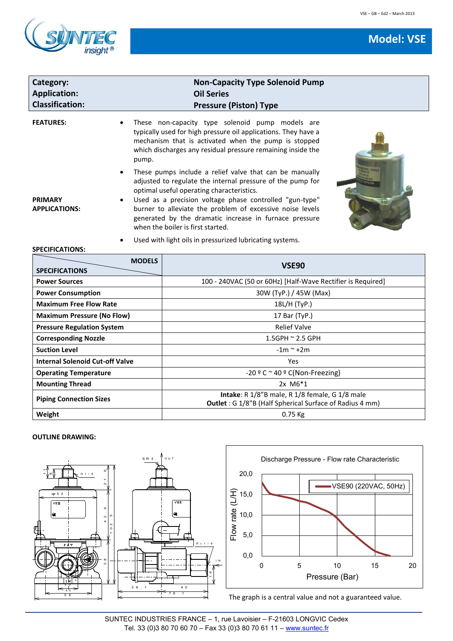



| <b>Model: VSE</b> |  |
|-------------------|--|
|                   |  |

| Category:<br><b>Application:</b><br><b>Classification:</b> |                                                                       | <b>Non-Capacity Type Solenoid Pump</b><br><b>Oil Series</b><br><b>Pressure (Piston) Type</b>                                                                                                                                                                                                                                                                                              |  |
|------------------------------------------------------------|-----------------------------------------------------------------------|-------------------------------------------------------------------------------------------------------------------------------------------------------------------------------------------------------------------------------------------------------------------------------------------------------------------------------------------------------------------------------------------|--|
| <b>FEATURES:</b>                                           | pump.                                                                 | These non-capacity type solenoid pump models are<br>typically used for high pressure oil applications. They have a<br>mechanism that is activated when the pump is stopped<br>which discharges any residual pressure remaining inside the                                                                                                                                                 |  |
| <b>PRIMARY</b><br><b>APPLICATIONS:</b>                     |                                                                       | These pumps include a relief valve that can be manually<br>adjusted to regulate the internal pressure of the pump for<br>optimal useful operating characteristics.<br>Used as a precision voltage phase controlled "gun-type"<br>burner to alleviate the problem of excessive noise levels<br>generated by the dramatic increase in furnace pressure<br>when the boiler is first started. |  |
| <b>SPECIFICATIONS:</b>                                     | Used with light oils in pressurized lubricating systems.<br>$\bullet$ |                                                                                                                                                                                                                                                                                                                                                                                           |  |
| <b>SPECIFICATIONS</b>                                      | <b>MODELS</b>                                                         | <b>VSE90</b>                                                                                                                                                                                                                                                                                                                                                                              |  |
| <b>Power Sources</b>                                       |                                                                       | 100 - 240VAC (50 or 60Hz) [Half-Wave Rectifier is Required]                                                                                                                                                                                                                                                                                                                               |  |
| <b>Power Consumption</b>                                   |                                                                       | 30W (TyP.) / 45W (Max)                                                                                                                                                                                                                                                                                                                                                                    |  |

**Maximum Free Flow Rate** 18L/H (TyP.) **Maximum Pressure (No Flow)** 17 Bar (TyP.) **Pressure Regulation System Relief Valve** Relief Valve **Corresponding Nozzle** 1.5GPH ~ 2.5 GPH **Suction Level**  $-1m \sim +2m$ **Internal Solenoid Cut-off Valve Ves** 

**Mounting Thread** 2x M6<sup>\*</sup>1

**Weight** 0.75 Kg

**Operating Temperature**  $\begin{array}{c} \begin{array}{c} \begin{array}{c} \end{array} \end{array}$  **Operating Temperature** 

**Piping Connection Sizes Intake**: R 1/8"B male, R 1/8 female, G 1/8 male<br>**Piping Connection Sizes** 

| <b>OUTLINE DRAWING:</b> |
|-------------------------|



The graph is a central value and not a guaranteed value.

**Outlet** : G 1/8"B (Half Spherical Surface of Radius 4 mm)